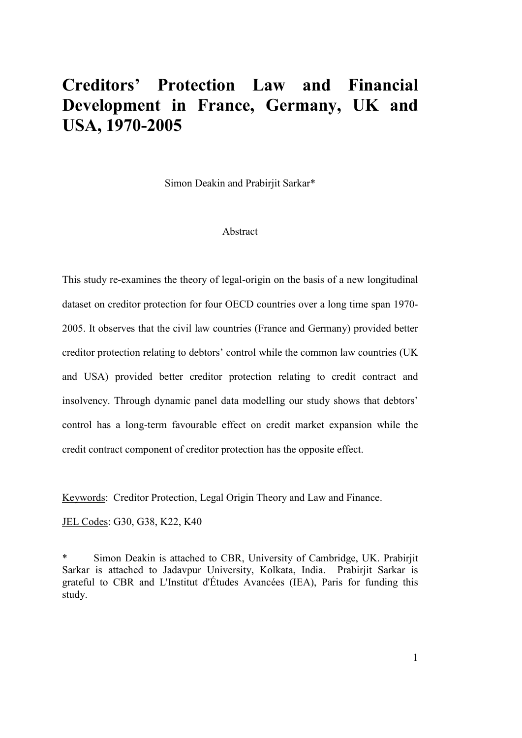# **Creditors' Protection Law and Financial Development in France, Germany, UK and USA, 1970-2005**

Simon Deakin and Prabirjit Sarkar\*

#### Abstract

This study re-examines the theory of legal-origin on the basis of a new longitudinal dataset on creditor protection for four OECD countries over a long time span 1970- 2005. It observes that the civil law countries (France and Germany) provided better creditor protection relating to debtors' control while the common law countries (UK and USA) provided better creditor protection relating to credit contract and insolvency. Through dynamic panel data modelling our study shows that debtors' control has a long-term favourable effect on credit market expansion while the credit contract component of creditor protection has the opposite effect.

Keywords: Creditor Protection, Legal Origin Theory and Law and Finance.

JEL Codes: G30, G38, K22, K40

\* Simon Deakin is attached to CBR, University of Cambridge, UK. Prabirjit Sarkar is attached to Jadavpur University, Kolkata, India. Prabirjit Sarkar is grateful to CBR and L'Institut d'Études Avancées (IEA), Paris for funding this study.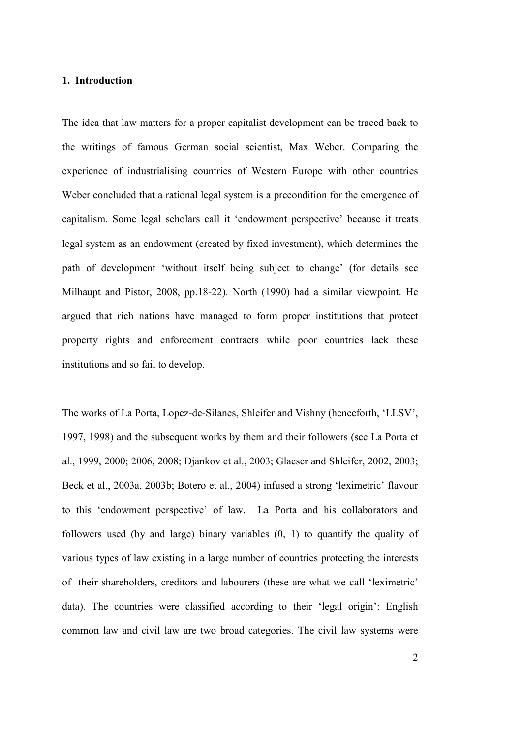#### **1. Introduction**

The idea that law matters for a proper capitalist development can be traced back to the writings of famous German social scientist, Max Weber. Comparing the experience of industrialising countries of Western Europe with other countries Weber concluded that a rational legal system is a precondition for the emergence of capitalism. Some legal scholars call it 'endowment perspective' because it treats legal system as an endowment (created by fixed investment), which determines the path of development 'without itself being subject to change' (for details see Milhaupt and Pistor, 2008, pp.18-22). North (1990) had a similar viewpoint. He argued that rich nations have managed to form proper institutions that protect property rights and enforcement contracts while poor countries lack these institutions and so fail to develop.

The works of La Porta, Lopez-de-Silanes, Shleifer and Vishny (henceforth, 'LLSV', 1997, 1998) and the subsequent works by them and their followers (see La Porta et al., 1999, 2000; 2006, 2008; Djankov et al., 2003; Glaeser and Shleifer, 2002, 2003; Beck et al., 2003a, 2003b; Botero et al., 2004) infused a strong 'leximetric' flavour to this 'endowment perspective' of law. La Porta and his collaborators and followers used (by and large) binary variables (0, 1) to quantify the quality of various types of law existing in a large number of countries protecting the interests of their shareholders, creditors and labourers (these are what we call 'leximetric' data). The countries were classified according to their 'legal origin': English common law and civil law are two broad categories. The civil law systems were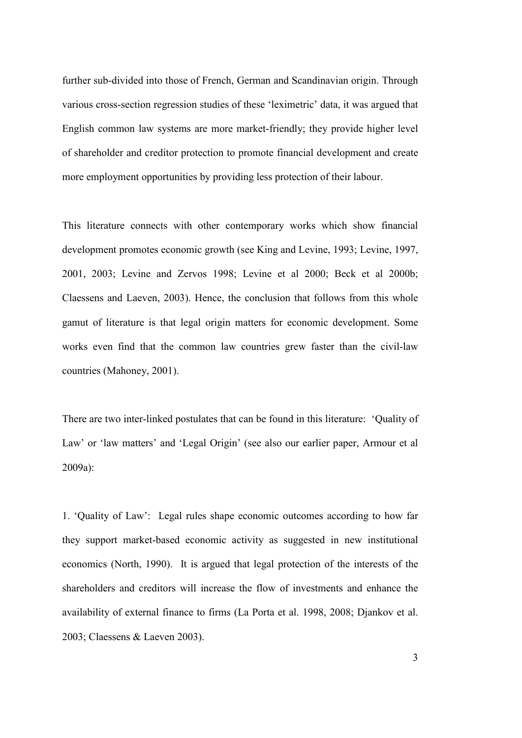further sub-divided into those of French, German and Scandinavian origin. Through various cross-section regression studies of these 'leximetric' data, it was argued that English common law systems are more market-friendly; they provide higher level of shareholder and creditor protection to promote financial development and create more employment opportunities by providing less protection of their labour.

This literature connects with other contemporary works which show financial development promotes economic growth (see King and Levine, 1993; Levine, 1997, 2001, 2003; Levine and Zervos 1998; Levine et al 2000; Beck et al 2000b; Claessens and Laeven, 2003). Hence, the conclusion that follows from this whole gamut of literature is that legal origin matters for economic development. Some works even find that the common law countries grew faster than the civil-law countries (Mahoney, 2001).

There are two inter-linked postulates that can be found in this literature: 'Quality of Law' or 'law matters' and 'Legal Origin' (see also our earlier paper, Armour et al 2009a):

1. 'Quality of Law': Legal rules shape economic outcomes according to how far they support market-based economic activity as suggested in new institutional economics (North, 1990). It is argued that legal protection of the interests of the shareholders and creditors will increase the flow of investments and enhance the availability of external finance to firms (La Porta et al. 1998, 2008; Djankov et al. 2003; Claessens & Laeven 2003).

3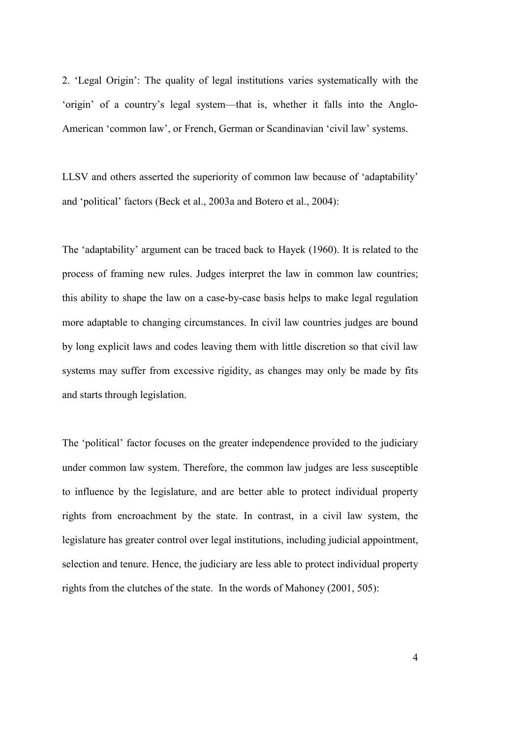2. 'Legal Origin': The quality of legal institutions varies systematically with the 'origin' of a country's legal system—that is, whether it falls into the Anglo-American 'common law', or French, German or Scandinavian 'civil law' systems.

LLSV and others asserted the superiority of common law because of 'adaptability' and 'political' factors (Beck et al., 2003a and Botero et al., 2004):

The 'adaptability' argument can be traced back to Hayek (1960). It is related to the process of framing new rules. Judges interpret the law in common law countries; this ability to shape the law on a case-by-case basis helps to make legal regulation more adaptable to changing circumstances. In civil law countries judges are bound by long explicit laws and codes leaving them with little discretion so that civil law systems may suffer from excessive rigidity, as changes may only be made by fits and starts through legislation.

The 'political' factor focuses on the greater independence provided to the judiciary under common law system. Therefore, the common law judges are less susceptible to influence by the legislature, and are better able to protect individual property rights from encroachment by the state. In contrast, in a civil law system, the legislature has greater control over legal institutions, including judicial appointment, selection and tenure. Hence, the judiciary are less able to protect individual property rights from the clutches of the state. In the words of Mahoney (2001, 505):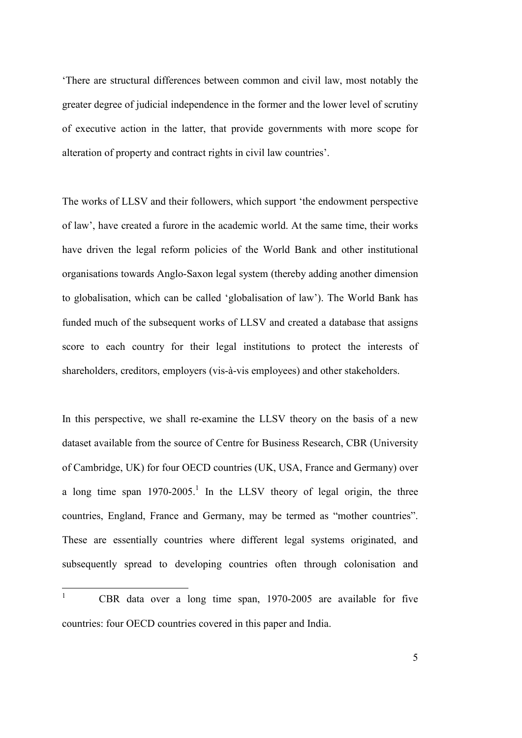'There are structural differences between common and civil law, most notably the greater degree of judicial independence in the former and the lower level of scrutiny of executive action in the latter, that provide governments with more scope for alteration of property and contract rights in civil law countries'.

The works of LLSV and their followers, which support 'the endowment perspective of law', have created a furore in the academic world. At the same time, their works have driven the legal reform policies of the World Bank and other institutional organisations towards Anglo-Saxon legal system (thereby adding another dimension to globalisation, which can be called 'globalisation of law'). The World Bank has funded much of the subsequent works of LLSV and created a database that assigns score to each country for their legal institutions to protect the interests of shareholders, creditors, employers (vis-à-vis employees) and other stakeholders.

In this perspective, we shall re-examine the LLSV theory on the basis of a new dataset available from the source of Centre for Business Research, CBR (University of Cambridge, UK) for four OECD countries (UK, USA, France and Germany) over a long time span  $1970-2005$ <sup>1</sup>. In the LLSV theory of legal origin, the three countries, England, France and Germany, may be termed as "mother countries". These are essentially countries where different legal systems originated, and subsequently spread to developing countries often through colonisation and

 $\frac{1}{1}$  CBR data over a long time span, 1970-2005 are available for five countries: four OECD countries covered in this paper and India.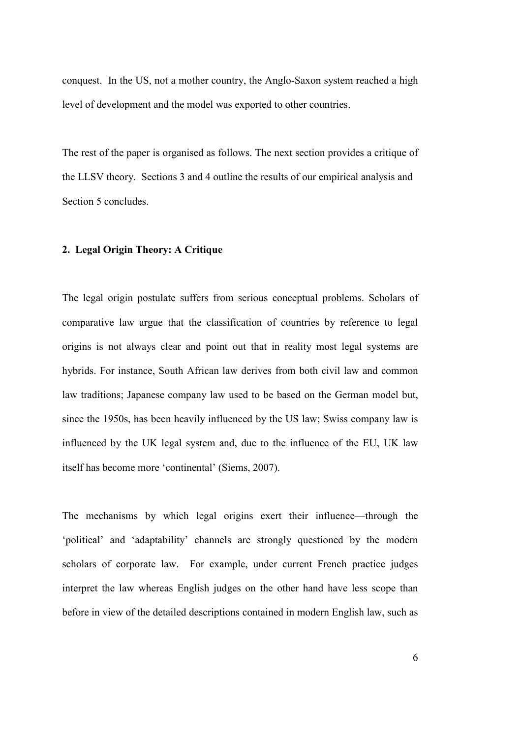conquest. In the US, not a mother country, the Anglo-Saxon system reached a high level of development and the model was exported to other countries.

The rest of the paper is organised as follows. The next section provides a critique of the LLSV theory. Sections 3 and 4 outline the results of our empirical analysis and Section 5 concludes.

#### **2. Legal Origin Theory: A Critique**

The legal origin postulate suffers from serious conceptual problems. Scholars of comparative law argue that the classification of countries by reference to legal origins is not always clear and point out that in reality most legal systems are hybrids. For instance, South African law derives from both civil law and common law traditions; Japanese company law used to be based on the German model but, since the 1950s, has been heavily influenced by the US law; Swiss company law is influenced by the UK legal system and, due to the influence of the EU, UK law itself has become more 'continental' (Siems, 2007).

The mechanisms by which legal origins exert their influence—through the 'political' and 'adaptability' channels are strongly questioned by the modern scholars of corporate law. For example, under current French practice judges interpret the law whereas English judges on the other hand have less scope than before in view of the detailed descriptions contained in modern English law, such as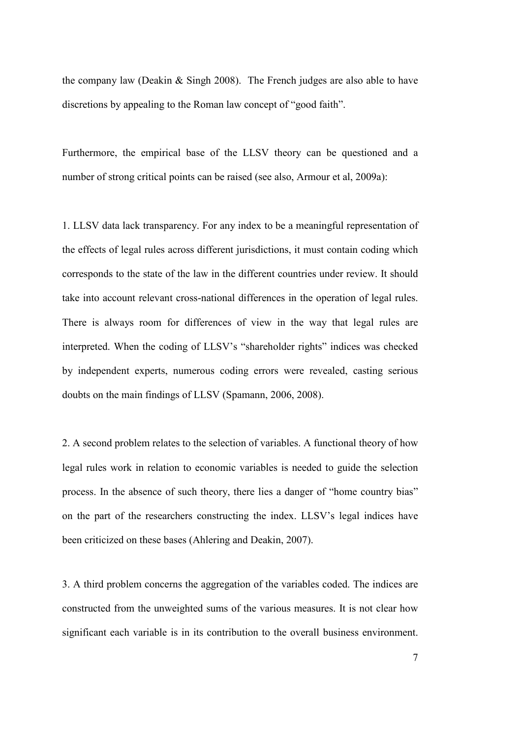the company law (Deakin & Singh 2008). The French judges are also able to have discretions by appealing to the Roman law concept of "good faith".

Furthermore, the empirical base of the LLSV theory can be questioned and a number of strong critical points can be raised (see also, Armour et al, 2009a):

1. LLSV data lack transparency. For any index to be a meaningful representation of the effects of legal rules across different jurisdictions, it must contain coding which corresponds to the state of the law in the different countries under review. It should take into account relevant cross-national differences in the operation of legal rules. There is always room for differences of view in the way that legal rules are interpreted. When the coding of LLSV's "shareholder rights" indices was checked by independent experts, numerous coding errors were revealed, casting serious doubts on the main findings of LLSV (Spamann, 2006, 2008).

2. A second problem relates to the selection of variables. A functional theory of how legal rules work in relation to economic variables is needed to guide the selection process. In the absence of such theory, there lies a danger of "home country bias" on the part of the researchers constructing the index. LLSV's legal indices have been criticized on these bases (Ahlering and Deakin, 2007).

3. A third problem concerns the aggregation of the variables coded. The indices are constructed from the unweighted sums of the various measures. It is not clear how significant each variable is in its contribution to the overall business environment.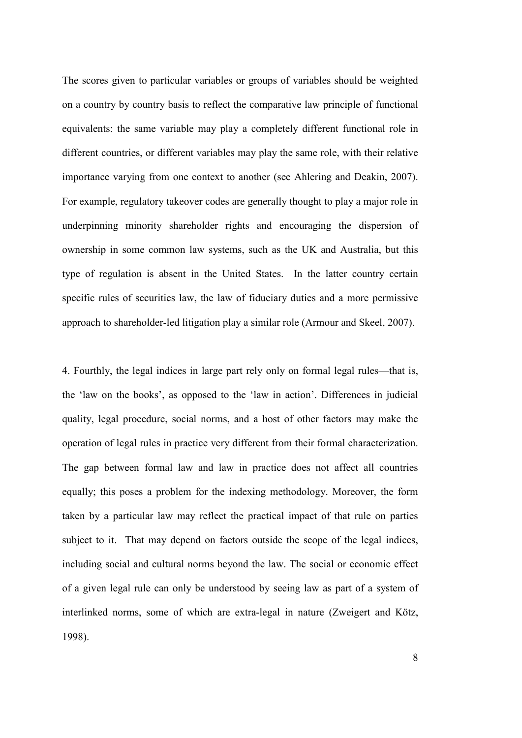The scores given to particular variables or groups of variables should be weighted on a country by country basis to reflect the comparative law principle of functional equivalents: the same variable may play a completely different functional role in different countries, or different variables may play the same role, with their relative importance varying from one context to another (see Ahlering and Deakin, 2007). For example, regulatory takeover codes are generally thought to play a major role in underpinning minority shareholder rights and encouraging the dispersion of ownership in some common law systems, such as the UK and Australia, but this type of regulation is absent in the United States. In the latter country certain specific rules of securities law, the law of fiduciary duties and a more permissive approach to shareholder-led litigation play a similar role (Armour and Skeel, 2007).

4. Fourthly, the legal indices in large part rely only on formal legal rules—that is, the 'law on the books', as opposed to the 'law in action'. Differences in judicial quality, legal procedure, social norms, and a host of other factors may make the operation of legal rules in practice very different from their formal characterization. The gap between formal law and law in practice does not affect all countries equally; this poses a problem for the indexing methodology. Moreover, the form taken by a particular law may reflect the practical impact of that rule on parties subject to it. That may depend on factors outside the scope of the legal indices, including social and cultural norms beyond the law. The social or economic effect of a given legal rule can only be understood by seeing law as part of a system of interlinked norms, some of which are extra-legal in nature (Zweigert and Kötz, 1998).

8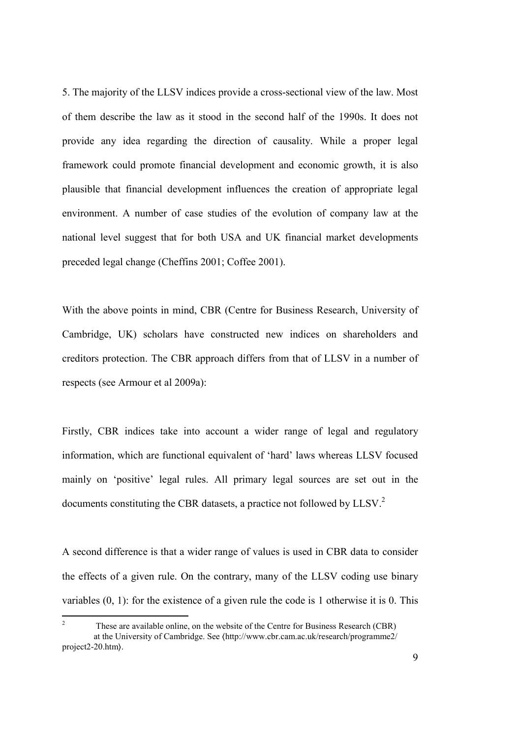5. The majority of the LLSV indices provide a cross-sectional view of the law. Most of them describe the law as it stood in the second half of the 1990s. It does not provide any idea regarding the direction of causality. While a proper legal framework could promote financial development and economic growth, it is also plausible that financial development influences the creation of appropriate legal environment. A number of case studies of the evolution of company law at the national level suggest that for both USA and UK financial market developments preceded legal change (Cheffins 2001; Coffee 2001).

With the above points in mind, CBR (Centre for Business Research, University of Cambridge, UK) scholars have constructed new indices on shareholders and creditors protection. The CBR approach differs from that of LLSV in a number of respects (see Armour et al 2009a):

Firstly, CBR indices take into account a wider range of legal and regulatory information, which are functional equivalent of 'hard' laws whereas LLSV focused mainly on 'positive' legal rules. All primary legal sources are set out in the documents constituting the CBR datasets, a practice not followed by LLSV.<sup>2</sup>

A second difference is that a wider range of values is used in CBR data to consider the effects of a given rule. On the contrary, many of the LLSV coding use binary variables (0, 1): for the existence of a given rule the code is 1 otherwise it is 0. This

 $\frac{1}{2}$  These are available online, on the website of the Centre for Business Research (CBR) at the University of Cambridge. See 〈http://www.cbr.cam.ac.uk/research/programme2/ project2-20.htm〉.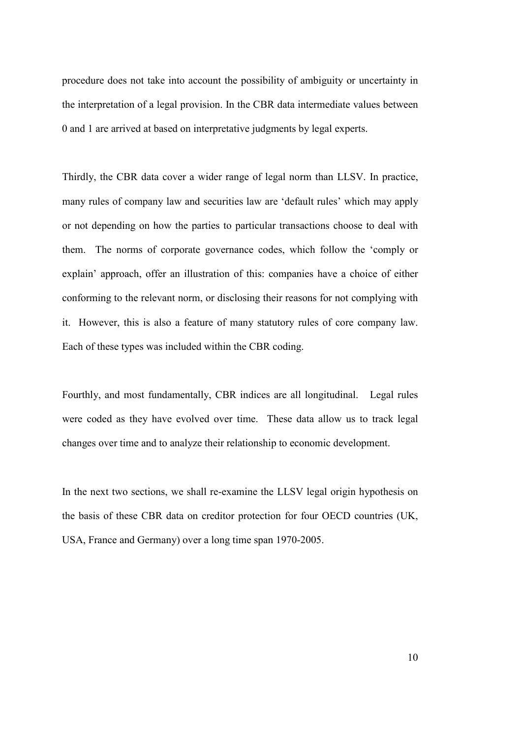procedure does not take into account the possibility of ambiguity or uncertainty in the interpretation of a legal provision. In the CBR data intermediate values between 0 and 1 are arrived at based on interpretative judgments by legal experts.

Thirdly, the CBR data cover a wider range of legal norm than LLSV. In practice, many rules of company law and securities law are 'default rules' which may apply or not depending on how the parties to particular transactions choose to deal with them. The norms of corporate governance codes, which follow the 'comply or explain' approach, offer an illustration of this: companies have a choice of either conforming to the relevant norm, or disclosing their reasons for not complying with it. However, this is also a feature of many statutory rules of core company law. Each of these types was included within the CBR coding.

Fourthly, and most fundamentally, CBR indices are all longitudinal. Legal rules were coded as they have evolved over time. These data allow us to track legal changes over time and to analyze their relationship to economic development.

In the next two sections, we shall re-examine the LLSV legal origin hypothesis on the basis of these CBR data on creditor protection for four OECD countries (UK, USA, France and Germany) over a long time span 1970-2005.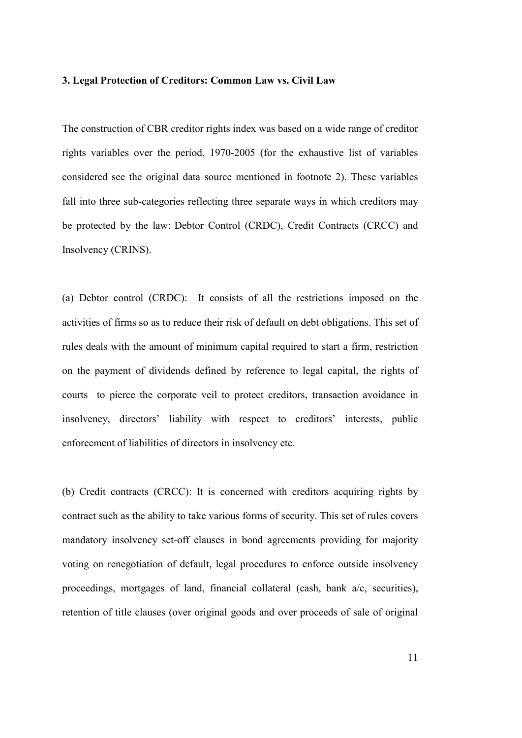#### **3. Legal Protection of Creditors: Common Law vs. Civil Law**

The construction of CBR creditor rights index was based on a wide range of creditor rights variables over the period, 1970-2005 (for the exhaustive list of variables considered see the original data source mentioned in footnote 2). These variables fall into three sub-categories reflecting three separate ways in which creditors may be protected by the law: Debtor Control (CRDC), Credit Contracts (CRCC) and Insolvency (CRINS).

(a) Debtor control (CRDC): It consists of all the restrictions imposed on the activities of firms so as to reduce their risk of default on debt obligations. This set of rules deals with the amount of minimum capital required to start a firm, restriction on the payment of dividends defined by reference to legal capital, the rights of courts to pierce the corporate veil to protect creditors, transaction avoidance in insolvency, directors' liability with respect to creditors' interests, public enforcement of liabilities of directors in insolvency etc.

(b) Credit contracts (CRCC): It is concerned with creditors acquiring rights by contract such as the ability to take various forms of security. This set of rules covers mandatory insolvency set-off clauses in bond agreements providing for majority voting on renegotiation of default, legal procedures to enforce outside insolvency proceedings, mortgages of land, financial collateral (cash, bank a/c, securities), retention of title clauses (over original goods and over proceeds of sale of original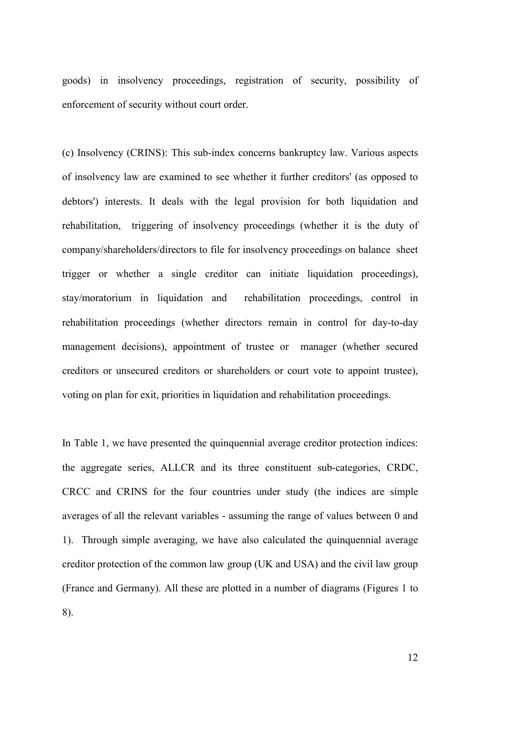goods) in insolvency proceedings, registration of security, possibility of enforcement of security without court order.

(c) Insolvency (CRINS): This sub-index concerns bankruptcy law. Various aspects of insolvency law are examined to see whether it further creditors' (as opposed to debtors') interests. It deals with the legal provision for both liquidation and rehabilitation, triggering of insolvency proceedings (whether it is the duty of company/shareholders/directors to file for insolvency proceedings on balance sheet trigger or whether a single creditor can initiate liquidation proceedings), stay/moratorium in liquidation and rehabilitation proceedings, control in rehabilitation proceedings (whether directors remain in control for day-to-day management decisions), appointment of trustee or manager (whether secured creditors or unsecured creditors or shareholders or court vote to appoint trustee), voting on plan for exit, priorities in liquidation and rehabilitation proceedings.

In Table 1, we have presented the quinquennial average creditor protection indices: the aggregate series, ALLCR and its three constituent sub-categories, CRDC, CRCC and CRINS for the four countries under study (the indices are simple averages of all the relevant variables - assuming the range of values between 0 and 1). Through simple averaging, we have also calculated the quinquennial average creditor protection of the common law group (UK and USA) and the civil law group (France and Germany). All these are plotted in a number of diagrams (Figures 1 to 8).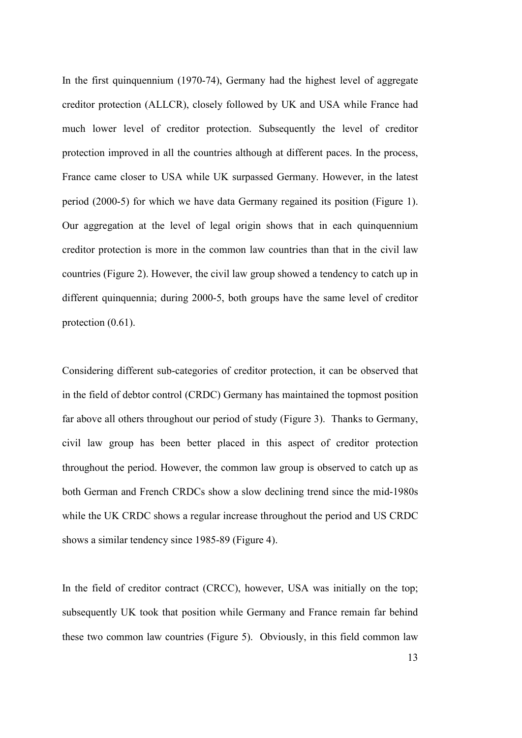In the first quinquennium (1970-74), Germany had the highest level of aggregate creditor protection (ALLCR), closely followed by UK and USA while France had much lower level of creditor protection. Subsequently the level of creditor protection improved in all the countries although at different paces. In the process, France came closer to USA while UK surpassed Germany. However, in the latest period (2000-5) for which we have data Germany regained its position (Figure 1). Our aggregation at the level of legal origin shows that in each quinquennium creditor protection is more in the common law countries than that in the civil law countries (Figure 2). However, the civil law group showed a tendency to catch up in different quinquennia; during 2000-5, both groups have the same level of creditor protection  $(0.61)$ .

Considering different sub-categories of creditor protection, it can be observed that in the field of debtor control (CRDC) Germany has maintained the topmost position far above all others throughout our period of study (Figure 3). Thanks to Germany, civil law group has been better placed in this aspect of creditor protection throughout the period. However, the common law group is observed to catch up as both German and French CRDCs show a slow declining trend since the mid-1980s while the UK CRDC shows a regular increase throughout the period and US CRDC shows a similar tendency since 1985-89 (Figure 4).

In the field of creditor contract (CRCC), however, USA was initially on the top; subsequently UK took that position while Germany and France remain far behind these two common law countries (Figure 5). Obviously, in this field common law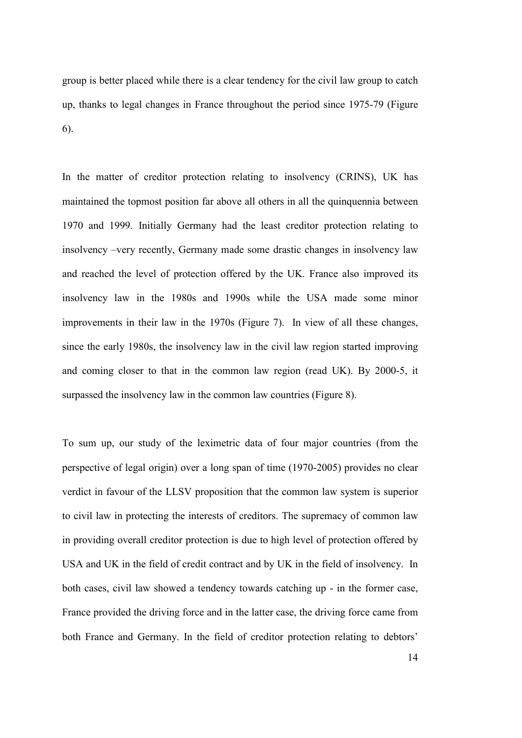group is better placed while there is a clear tendency for the civil law group to catch up, thanks to legal changes in France throughout the period since 1975-79 (Figure 6).

In the matter of creditor protection relating to insolvency (CRINS), UK has maintained the topmost position far above all others in all the quinquennia between 1970 and 1999. Initially Germany had the least creditor protection relating to insolvency –very recently, Germany made some drastic changes in insolvency law and reached the level of protection offered by the UK. France also improved its insolvency law in the 1980s and 1990s while the USA made some minor improvements in their law in the 1970s (Figure 7). In view of all these changes, since the early 1980s, the insolvency law in the civil law region started improving and coming closer to that in the common law region (read UK). By 2000-5, it surpassed the insolvency law in the common law countries (Figure 8).

To sum up, our study of the leximetric data of four major countries (from the perspective of legal origin) over a long span of time (1970-2005) provides no clear verdict in favour of the LLSV proposition that the common law system is superior to civil law in protecting the interests of creditors. The supremacy of common law in providing overall creditor protection is due to high level of protection offered by USA and UK in the field of credit contract and by UK in the field of insolvency. In both cases, civil law showed a tendency towards catching up - in the former case, France provided the driving force and in the latter case, the driving force came from both France and Germany. In the field of creditor protection relating to debtors'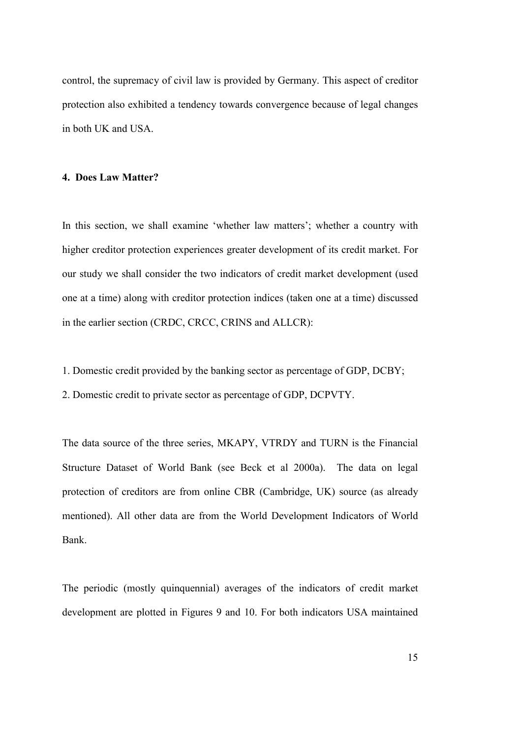control, the supremacy of civil law is provided by Germany. This aspect of creditor protection also exhibited a tendency towards convergence because of legal changes in both UK and USA.

#### **4. Does Law Matter?**

In this section, we shall examine 'whether law matters'; whether a country with higher creditor protection experiences greater development of its credit market. For our study we shall consider the two indicators of credit market development (used one at a time) along with creditor protection indices (taken one at a time) discussed in the earlier section (CRDC, CRCC, CRINS and ALLCR):

1. Domestic credit provided by the banking sector as percentage of GDP, DCBY;

2. Domestic credit to private sector as percentage of GDP, DCPVTY.

The data source of the three series, MKAPY, VTRDY and TURN is the Financial Structure Dataset of World Bank (see Beck et al 2000a). The data on legal protection of creditors are from online CBR (Cambridge, UK) source (as already mentioned). All other data are from the World Development Indicators of World Bank.

The periodic (mostly quinquennial) averages of the indicators of credit market development are plotted in Figures 9 and 10. For both indicators USA maintained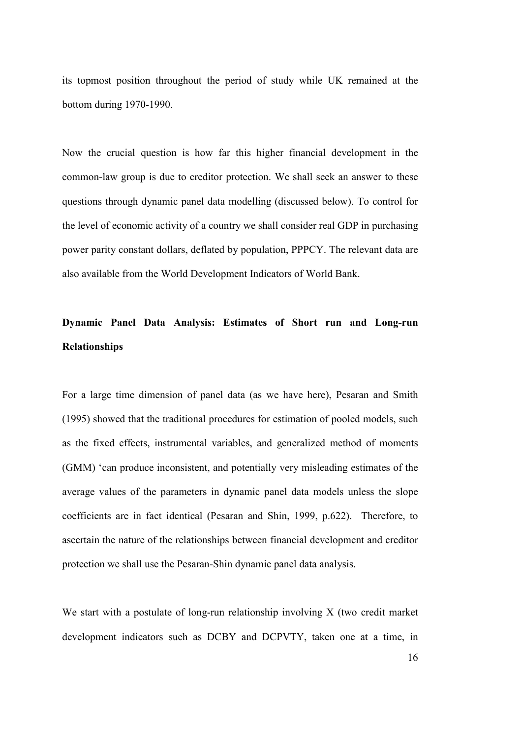its topmost position throughout the period of study while UK remained at the bottom during 1970-1990.

Now the crucial question is how far this higher financial development in the common-law group is due to creditor protection. We shall seek an answer to these questions through dynamic panel data modelling (discussed below). To control for the level of economic activity of a country we shall consider real GDP in purchasing power parity constant dollars, deflated by population, PPPCY. The relevant data are also available from the World Development Indicators of World Bank.

# **Dynamic Panel Data Analysis: Estimates of Short run and Long-run Relationships**

For a large time dimension of panel data (as we have here), Pesaran and Smith (1995) showed that the traditional procedures for estimation of pooled models, such as the fixed effects, instrumental variables, and generalized method of moments (GMM) 'can produce inconsistent, and potentially very misleading estimates of the average values of the parameters in dynamic panel data models unless the slope coefficients are in fact identical (Pesaran and Shin, 1999, p.622). Therefore, to ascertain the nature of the relationships between financial development and creditor protection we shall use the Pesaran-Shin dynamic panel data analysis.

We start with a postulate of long-run relationship involving X (two credit market development indicators such as DCBY and DCPVTY, taken one at a time, in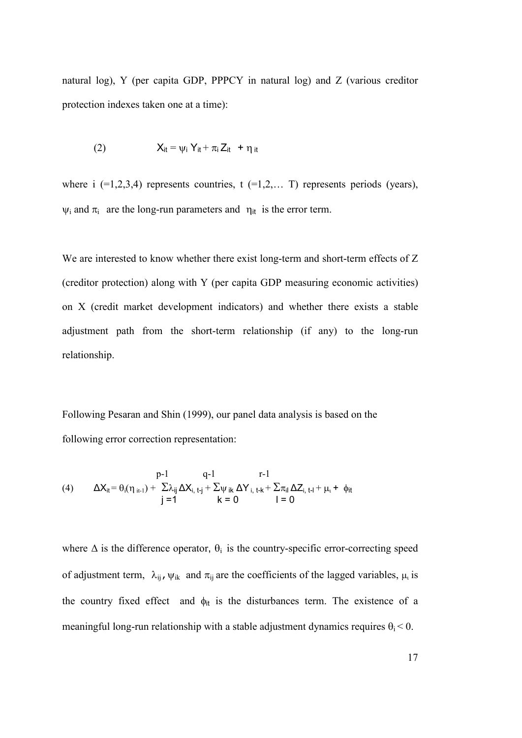natural log), Y (per capita GDP, PPPCY in natural log) and Z (various creditor protection indexes taken one at a time):

(2) 
$$
X_{it} = \psi_i Y_{it} + \pi_i Z_{it} + \eta_{it}
$$

where i  $(=1,2,3,4)$  represents countries, t  $(=1,2,...,T)$  represents periods (years),  $\psi_i$  and  $\pi_i$  are the long-run parameters and  $\eta_{it}$  is the error term.

We are interested to know whether there exist long-term and short-term effects of Z (creditor protection) along with Y (per capita GDP measuring economic activities) on X (credit market development indicators) and whether there exists a stable adjustment path from the short-term relationship (if any) to the long-run relationship.

Following Pesaran and Shin (1999), our panel data analysis is based on the following error correction representation:

(4) 
$$
\Delta X_{it} = \theta_i(\eta_{it-1}) + \frac{\rho - 1}{\sum_{i,j} \Delta X_{i, t-j} + \sum_{i} \psi_{ik} \Delta Y_{i, t-k} + \sum_{i} \pi_{il} \Delta Z_{i, t-l} + \mu_t + \phi_{it}} \mathbf{1} = 0
$$

where  $\Delta$  is the difference operator,  $\theta_i$  is the country-specific error-correcting speed of adjustment term,  $\lambda_{ij}$ ,  $\psi_{ik}$  and  $\pi_{ij}$  are the coefficients of the lagged variables,  $\mu_i$  is the country fixed effect and  $\phi_{it}$  is the disturbances term. The existence of a meaningful long-run relationship with a stable adjustment dynamics requires  $\theta_i < 0$ .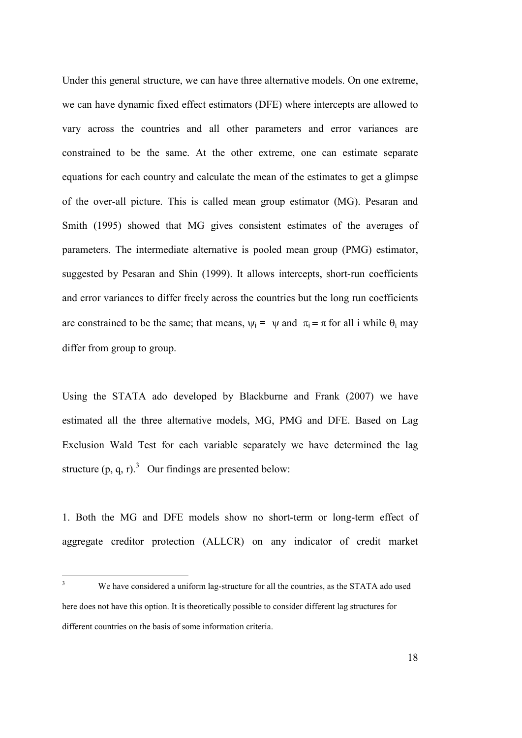Under this general structure, we can have three alternative models. On one extreme, we can have dynamic fixed effect estimators (DFE) where intercepts are allowed to vary across the countries and all other parameters and error variances are constrained to be the same. At the other extreme, one can estimate separate equations for each country and calculate the mean of the estimates to get a glimpse of the over-all picture. This is called mean group estimator (MG). Pesaran and Smith (1995) showed that MG gives consistent estimates of the averages of parameters. The intermediate alternative is pooled mean group (PMG) estimator, suggested by Pesaran and Shin (1999). It allows intercepts, short-run coefficients and error variances to differ freely across the countries but the long run coefficients are constrained to be the same; that means,  $\psi_i = \psi$  and  $\pi_i = \pi$  for all i while  $\theta_i$  may differ from group to group.

Using the STATA ado developed by Blackburne and Frank (2007) we have estimated all the three alternative models, MG, PMG and DFE. Based on Lag Exclusion Wald Test for each variable separately we have determined the lag structure  $(p, q, r)$ .<sup>3</sup> Our findings are presented below:

1. Both the MG and DFE models show no short-term or long-term effect of aggregate creditor protection (ALLCR) on any indicator of credit market

 $\frac{1}{3}$  We have considered a uniform lag-structure for all the countries, as the STATA ado used here does not have this option. It is theoretically possible to consider different lag structures for different countries on the basis of some information criteria.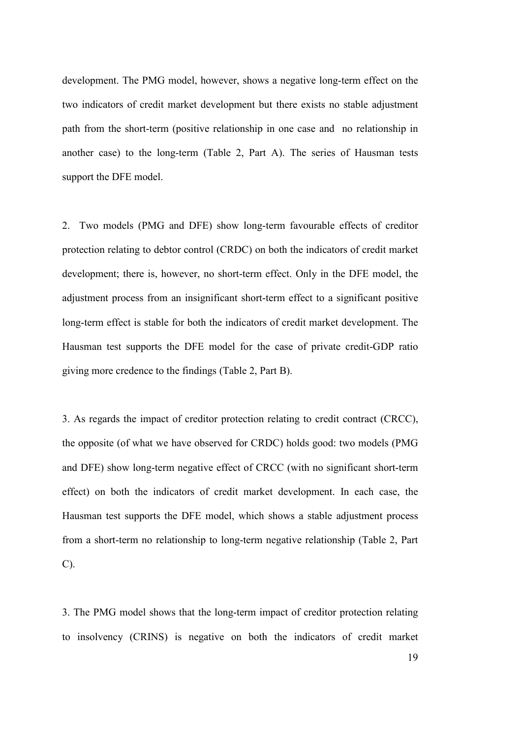development. The PMG model, however, shows a negative long-term effect on the two indicators of credit market development but there exists no stable adjustment path from the short-term (positive relationship in one case and no relationship in another case) to the long-term (Table 2, Part A). The series of Hausman tests support the DFE model.

2. Two models (PMG and DFE) show long-term favourable effects of creditor protection relating to debtor control (CRDC) on both the indicators of credit market development; there is, however, no short-term effect. Only in the DFE model, the adjustment process from an insignificant short-term effect to a significant positive long-term effect is stable for both the indicators of credit market development. The Hausman test supports the DFE model for the case of private credit-GDP ratio giving more credence to the findings (Table 2, Part B).

3. As regards the impact of creditor protection relating to credit contract (CRCC), the opposite (of what we have observed for CRDC) holds good: two models (PMG and DFE) show long-term negative effect of CRCC (with no significant short-term effect) on both the indicators of credit market development. In each case, the Hausman test supports the DFE model, which shows a stable adjustment process from a short-term no relationship to long-term negative relationship (Table 2, Part C).

3. The PMG model shows that the long-term impact of creditor protection relating to insolvency (CRINS) is negative on both the indicators of credit market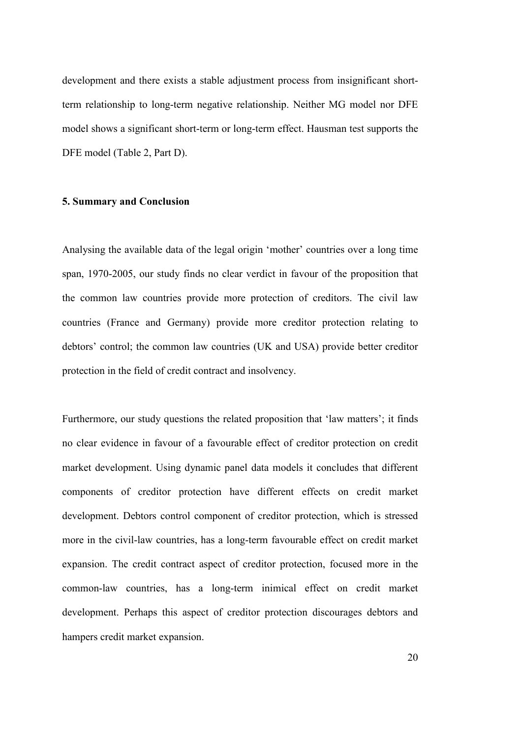development and there exists a stable adjustment process from insignificant shortterm relationship to long-term negative relationship. Neither MG model nor DFE model shows a significant short-term or long-term effect. Hausman test supports the DFE model (Table 2, Part D).

#### **5. Summary and Conclusion**

Analysing the available data of the legal origin 'mother' countries over a long time span, 1970-2005, our study finds no clear verdict in favour of the proposition that the common law countries provide more protection of creditors. The civil law countries (France and Germany) provide more creditor protection relating to debtors' control; the common law countries (UK and USA) provide better creditor protection in the field of credit contract and insolvency.

Furthermore, our study questions the related proposition that 'law matters'; it finds no clear evidence in favour of a favourable effect of creditor protection on credit market development. Using dynamic panel data models it concludes that different components of creditor protection have different effects on credit market development. Debtors control component of creditor protection, which is stressed more in the civil-law countries, has a long-term favourable effect on credit market expansion. The credit contract aspect of creditor protection, focused more in the common-law countries, has a long-term inimical effect on credit market development. Perhaps this aspect of creditor protection discourages debtors and hampers credit market expansion.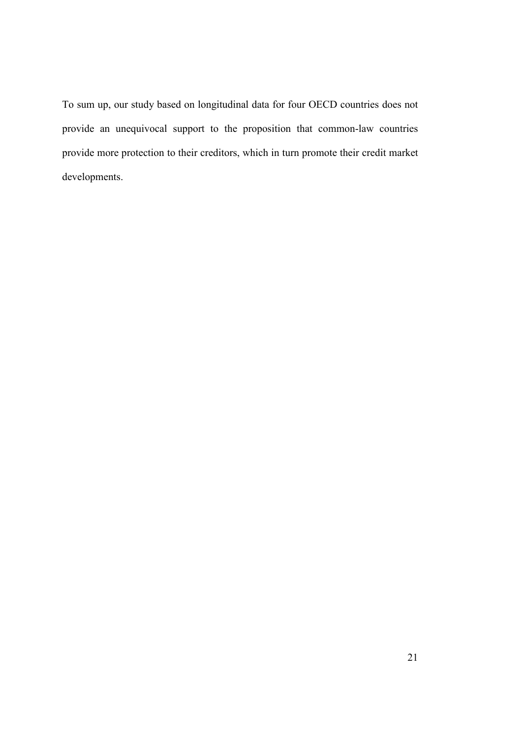To sum up, our study based on longitudinal data for four OECD countries does not provide an unequivocal support to the proposition that common-law countries provide more protection to their creditors, which in turn promote their credit market developments.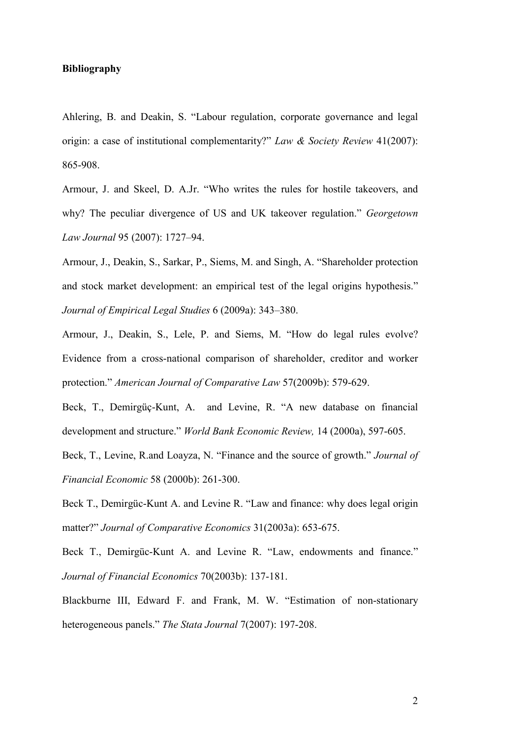#### **Bibliography**

Ahlering, B. and Deakin, S. "Labour regulation, corporate governance and legal origin: a case of institutional complementarity?" *Law & Society Review* 41(2007): 865-908.

Armour, J. and Skeel, D. A.Jr. "Who writes the rules for hostile takeovers, and why? The peculiar divergence of US and UK takeover regulation." *Georgetown Law Journal* 95 (2007): 1727–94.

Armour, J., Deakin, S., Sarkar, P., Siems, M. and Singh, A. "Shareholder protection and stock market development: an empirical test of the legal origins hypothesis." *Journal of Empirical Legal Studies* 6 (2009a): 343–380.

Armour, J., Deakin, S., Lele, P. and Siems, M. "How do legal rules evolve? Evidence from a cross-national comparison of shareholder, creditor and worker protection." *American Journal of Comparative Law* 57(2009b): 579-629.

Beck, T., Demirgüç-Kunt, A. and Levine, R. "A new database on financial development and structure." *World Bank Economic Review,* 14 (2000a), 597-605.

Beck, T., Levine, R.and Loayza, N. "Finance and the source of growth." *Journal of Financial Economic* 58 (2000b): 261-300.

Beck T., Demirgüc-Kunt A. and Levine R. "Law and finance: why does legal origin matter?" *Journal of Comparative Economics* 31(2003a): 653-675.

Beck T., Demirgüc-Kunt A. and Levine R. "Law, endowments and finance." *Journal of Financial Economics* 70(2003b): 137-181.

Blackburne III, Edward F. and Frank, M. W. "Estimation of non-stationary heterogeneous panels." *The Stata Journal* 7(2007): 197-208.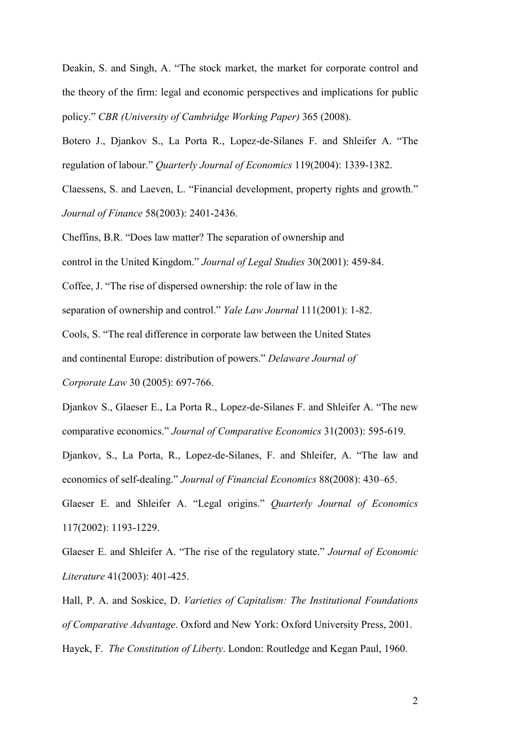Deakin, S. and Singh, A. "The stock market, the market for corporate control and the theory of the firm: legal and economic perspectives and implications for public policy." *CBR (University of Cambridge Working Paper)* 365 (2008).

Botero J., Djankov S., La Porta R., Lopez-de-Silanes F. and Shleifer A. "The regulation of labour." *Quarterly Journal of Economics* 119(2004): 1339-1382.

Claessens, S. and Laeven, L. "Financial development, property rights and growth." *Journal of Finance* 58(2003): 2401-2436.

Cheffins, B.R. "Does law matter? The separation of ownership and

control in the United Kingdom." *Journal of Legal Studies* 30(2001): 459-84.

Coffee, J. "The rise of dispersed ownership: the role of law in the

separation of ownership and control." *Yale Law Journal* 111(2001): 1-82.

Cools, S. "The real difference in corporate law between the United States

and continental Europe: distribution of powers." *Delaware Journal of* 

*Corporate Law* 30 (2005): 697-766.

Djankov S., Glaeser E., La Porta R., Lopez-de-Silanes F. and Shleifer A. "The new comparative economics." *Journal of Comparative Economics* 31(2003): 595-619.

Djankov, S., La Porta, R., Lopez-de-Silanes, F. and Shleifer, A. "The law and economics of self-dealing." *Journal of Financial Economics* 88(2008): 430–65.

Glaeser E. and Shleifer A. "Legal origins." *Quarterly Journal of Economics* 117(2002): 1193-1229.

Glaeser E. and Shleifer A. "The rise of the regulatory state." *Journal of Economic Literature* 41(2003): 401-425.

Hall, P. A. and Soskice, D. *Varieties of Capitalism: The Institutional Foundations of Comparative Advantage*. Oxford and New York: Oxford University Press, 2001. Hayek, F. *The Constitution of Liberty*. London: Routledge and Kegan Paul, 1960.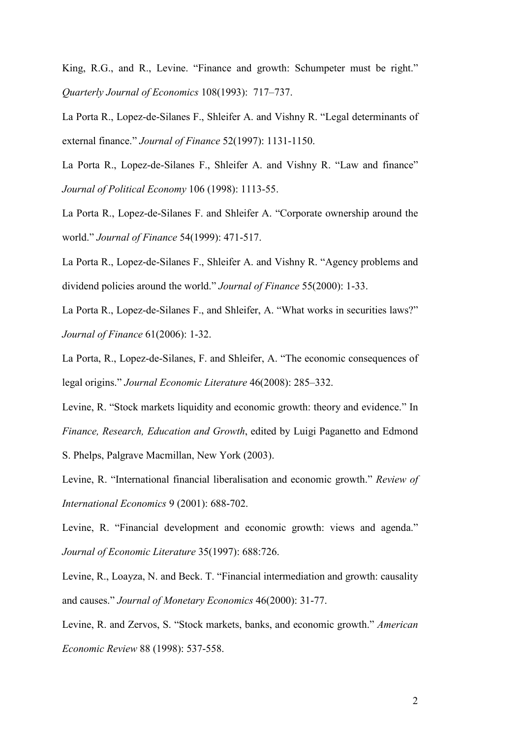King, R.G., and R., Levine. "Finance and growth: Schumpeter must be right." *Quarterly Journal of Economics* 108(1993): 717–737.

La Porta R., Lopez-de-Silanes F., Shleifer A. and Vishny R. "Legal determinants of external finance." *Journal of Finance* 52(1997): 1131-1150.

La Porta R., Lopez-de-Silanes F., Shleifer A. and Vishny R. "Law and finance" *Journal of Political Economy* 106 (1998): 1113-55.

La Porta R., Lopez-de-Silanes F. and Shleifer A. "Corporate ownership around the world." *Journal of Finance* 54(1999): 471-517.

La Porta R., Lopez-de-Silanes F., Shleifer A. and Vishny R. "Agency problems and dividend policies around the world." *Journal of Finance* 55(2000): 1-33.

La Porta R., Lopez-de-Silanes F., and Shleifer, A. "What works in securities laws?" *Journal of Finance* 61(2006): 1-32.

La Porta, R., Lopez-de-Silanes, F. and Shleifer, A. "The economic consequences of legal origins." *Journal Economic Literature* 46(2008): 285–332.

Levine, R. "Stock markets liquidity and economic growth: theory and evidence." In *Finance, Research, Education and Growth*, edited by Luigi Paganetto and Edmond

S. Phelps, Palgrave Macmillan, New York (2003).

Levine, R. "International financial liberalisation and economic growth." *Review of International Economics* 9 (2001): 688-702.

Levine, R. "Financial development and economic growth: views and agenda." *Journal of Economic Literature* 35(1997): 688:726.

Levine, R., Loayza, N. and Beck. T. "Financial intermediation and growth: causality and causes." *Journal of Monetary Economics* 46(2000): 31-77.

Levine, R. and Zervos, S. "Stock markets, banks, and economic growth." *American Economic Review* 88 (1998): 537-558.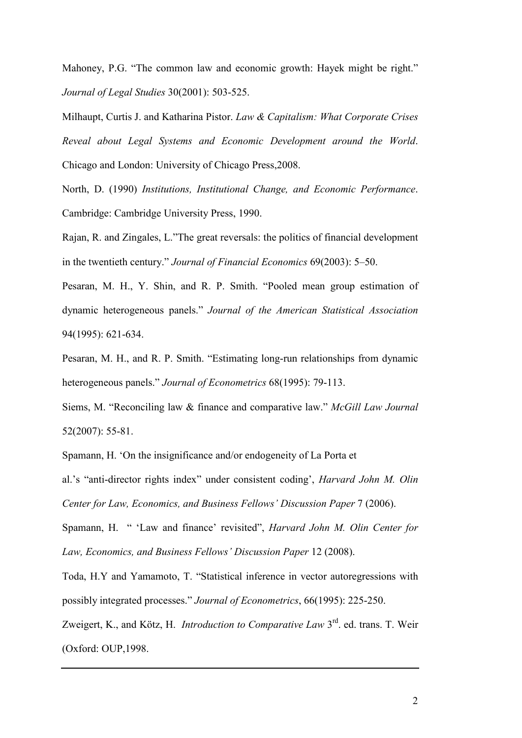Mahoney, P.G. "The common law and economic growth: Hayek might be right." *Journal of Legal Studies* 30(2001): 503-525.

Milhaupt, Curtis J. and Katharina Pistor. *Law & Capitalism: What Corporate Crises Reveal about Legal Systems and Economic Development around the World*. Chicago and London: University of Chicago Press,2008.

North, D. (1990) *Institutions, Institutional Change, and Economic Performance*. Cambridge: Cambridge University Press, 1990.

Rajan, R. and Zingales, L."The great reversals: the politics of financial development in the twentieth century." *Journal of Financial Economics* 69(2003): 5–50.

Pesaran, M. H., Y. Shin, and R. P. Smith. "Pooled mean group estimation of dynamic heterogeneous panels." *Journal of the American Statistical Association* 94(1995): 621-634.

Pesaran, M. H., and R. P. Smith. "Estimating long-run relationships from dynamic heterogeneous panels." *Journal of Econometrics* 68(1995): 79-113.

Siems, M. "Reconciling law & finance and comparative law." *McGill Law Journal* 52(2007): 55-81.

Spamann, H. 'On the insignificance and/or endogeneity of La Porta et

al.'s "anti-director rights index" under consistent coding', *Harvard John M. Olin Center for Law, Economics, and Business Fellows' Discussion Paper* 7 (2006).

Spamann, H. " 'Law and finance' revisited", *Harvard John M. Olin Center for Law, Economics, and Business Fellows' Discussion Paper* 12 (2008).

Toda, H.Y and Yamamoto, T. "Statistical inference in vector autoregressions with possibly integrated processes." *Journal of Econometrics*, 66(1995): 225-250.

Zweigert, K., and Kötz, H. *Introduction to Comparative Law* 3rd. ed. trans. T. Weir (Oxford: OUP,1998.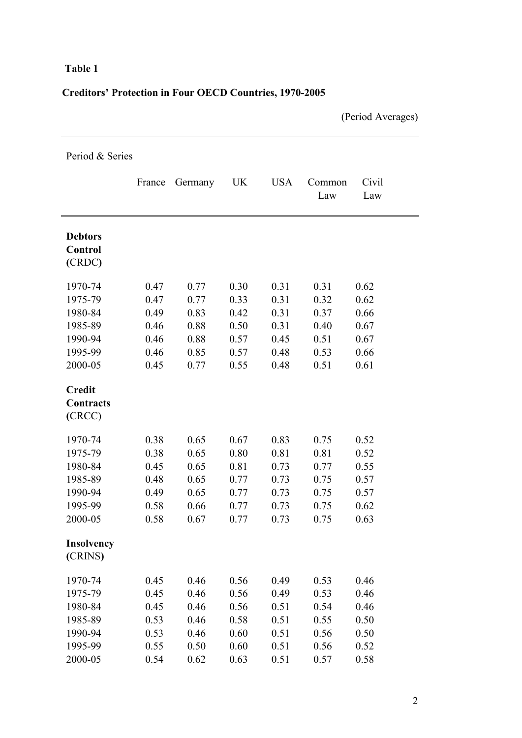### **Table 1**

## **Creditors' Protection in Four OECD Countries, 1970-2005**

(Period Averages)

| Period & Series                              |        |         |      |            |               |              |
|----------------------------------------------|--------|---------|------|------------|---------------|--------------|
|                                              | France | Germany | UK   | <b>USA</b> | Common<br>Law | Civil<br>Law |
| <b>Debtors</b><br>Control<br>(CRDC)          |        |         |      |            |               |              |
| 1970-74                                      | 0.47   | 0.77    | 0.30 | 0.31       | 0.31          | 0.62         |
| 1975-79                                      | 0.47   | 0.77    | 0.33 | 0.31       | 0.32          | 0.62         |
| 1980-84                                      | 0.49   | 0.83    | 0.42 | 0.31       | 0.37          | 0.66         |
| 1985-89                                      | 0.46   | 0.88    | 0.50 | 0.31       | 0.40          | 0.67         |
| 1990-94                                      | 0.46   | 0.88    | 0.57 | 0.45       | 0.51          | 0.67         |
| 1995-99                                      | 0.46   | 0.85    | 0.57 | 0.48       | 0.53          | 0.66         |
| 2000-05                                      | 0.45   | 0.77    | 0.55 | 0.48       | 0.51          | 0.61         |
| <b>Credit</b><br><b>Contracts</b><br>( CRCC) |        |         |      |            |               |              |
| 1970-74                                      | 0.38   | 0.65    | 0.67 | 0.83       | 0.75          | 0.52         |
| 1975-79                                      | 0.38   | 0.65    | 0.80 | 0.81       | 0.81          | 0.52         |
| 1980-84                                      | 0.45   | 0.65    | 0.81 | 0.73       | 0.77          | 0.55         |
| 1985-89                                      | 0.48   | 0.65    | 0.77 | 0.73       | 0.75          | 0.57         |
| 1990-94                                      | 0.49   | 0.65    | 0.77 | 0.73       | 0.75          | 0.57         |
| 1995-99                                      | 0.58   | 0.66    | 0.77 | 0.73       | 0.75          | 0.62         |
| 2000-05                                      | 0.58   | 0.67    | 0.77 | 0.73       | 0.75          | 0.63         |
| <b>Insolvency</b><br>(CRINS)                 |        |         |      |            |               |              |
| 1970-74                                      | 0.45   | 0.46    | 0.56 | 0.49       | 0.53          | 0.46         |
| 1975-79                                      | 0.45   | 0.46    | 0.56 | 0.49       | 0.53          | 0.46         |
| 1980-84                                      | 0.45   | 0.46    | 0.56 | 0.51       | 0.54          | 0.46         |
| 1985-89                                      | 0.53   | 0.46    | 0.58 | 0.51       | 0.55          | 0.50         |
| 1990-94                                      | 0.53   | 0.46    | 0.60 | 0.51       | 0.56          | 0.50         |
| 1995-99                                      | 0.55   | 0.50    | 0.60 | 0.51       | 0.56          | 0.52         |
| 2000-05                                      | 0.54   | 0.62    | 0.63 | 0.51       | 0.57          | 0.58         |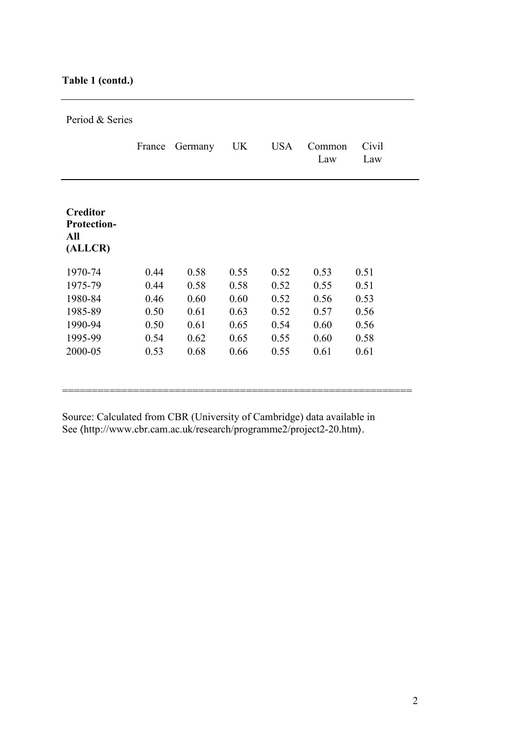### **Table 1 (contd.)**

Period & Series

|                                                         | France | Germany | UK   | <b>USA</b> | Common<br>Law | Civil<br>Law |
|---------------------------------------------------------|--------|---------|------|------------|---------------|--------------|
| <b>Creditor</b><br><b>Protection-</b><br>All<br>(ALLCR) |        |         |      |            |               |              |
| 1970-74                                                 | 0.44   | 0.58    | 0.55 | 0.52       | 0.53          | 0.51         |
| 1975-79                                                 | 0.44   | 0.58    | 0.58 | 0.52       | 0.55          | 0.51         |
| 1980-84                                                 | 0.46   | 0.60    | 0.60 | 0.52       | 0.56          | 0.53         |
| 1985-89                                                 | 0.50   | 0.61    | 0.63 | 0.52       | 0.57          | 0.56         |
| 1990-94                                                 | 0.50   | 0.61    | 0.65 | 0.54       | 0.60          | 0.56         |
| 1995-99                                                 | 0.54   | 0.62    | 0.65 | 0.55       | 0.60          | 0.58         |
| 2000-05                                                 | 0.53   | 0.68    | 0.66 | 0.55       | 0.61          | 0.61         |
|                                                         |        |         |      |            |               |              |
|                                                         |        |         |      |            |               |              |

Source: Calculated from CBR (University of Cambridge) data available in See 〈http://www.cbr.cam.ac.uk/research/programme2/project2-20.htm〉.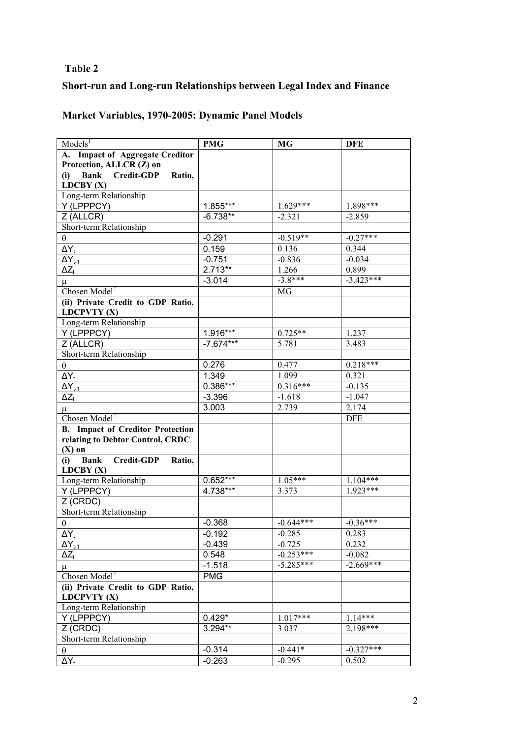### **Table 2**

## **Short-run and Long-run Relationships between Legal Index and Finance**

# **Market Variables, 1970-2005: Dynamic Panel Models**

| Models <sup>1</sup>                               | <b>PMG</b>  | <b>MG</b>             | <b>DFE</b>  |
|---------------------------------------------------|-------------|-----------------------|-------------|
| A. Impact of Aggregate Creditor                   |             |                       |             |
| Protection, ALLCR (Z) on                          |             |                       |             |
| Bank Credit-GDP<br>(i)<br>Ratio,                  |             |                       |             |
| LDCBY(X)                                          |             |                       |             |
| Long-term Relationship                            |             |                       |             |
| Y (LPPPCY)                                        | $1.855***$  | $1.629***$            | 1.898***    |
| Z (ALLCR)                                         | $-6.738**$  | $-2.321$              | $-2.859$    |
| Short-term Relationship                           |             |                       |             |
| $\theta$                                          | $-0.291$    | $-0.519**$            | $-0.27***$  |
| $\Delta Y_t$                                      | 0.159       | 0.136                 | 0.344       |
| $\Delta Y_{t-1}$                                  | $-0.751$    | $-0.836$              | $-0.034$    |
| $\Delta Z_t$                                      | $2.713**$   | 1.266                 | 0.899       |
| $\mu$                                             | $-3.014$    | $-3.8***$             | $-3.423***$ |
| Chosen Model <sup>2</sup>                         |             | MG                    |             |
| (ii) Private Credit to GDP Ratio,                 |             |                       |             |
| LDCPVTY (X)                                       |             |                       |             |
| Long-term Relationship                            |             |                       |             |
| Y (LPPPCY)                                        | 1.916***    | $0.725**$             | 1.237       |
| Z (ALLCR)                                         | $-7.674***$ | 5.781                 | 3.483       |
| Short-term Relationship                           |             |                       |             |
| $\theta$                                          | 0.276       | 0.477                 | $0.218***$  |
| $\Delta Y_t$                                      | 1.349       | 1.099                 | 0.321       |
| $\Delta Y_{t-1}$                                  | $0.386***$  | $0.3\overline{16***}$ | $-0.135$    |
| $\Delta Z_t$                                      | $-3.396$    | $-1.618$              | $-1.047$    |
| $\mu$                                             | 3.003       | 2.739                 | 2.174       |
| Chosen Model <sup>2</sup>                         |             |                       | <b>DFE</b>  |
| <b>B.</b> Impact of Creditor Protection           |             |                       |             |
| relating to Debtor Control, CRDC                  |             |                       |             |
| $(X)$ on                                          |             |                       |             |
| <b>Credit-GDP</b><br>(i)<br><b>Bank</b><br>Ratio, |             |                       |             |
| LDCBY(X)                                          |             |                       |             |
| Long-term Relationship                            | $0.652***$  | $1.05***$             | $1.104***$  |
| Y (LPPPCY)                                        | 4.738***    | 3.373                 | $1.923***$  |
| Z (CRDC)                                          |             |                       |             |
| Short-term Relationship                           |             |                       |             |
| θ                                                 | $-0.368$    | $-0.644***$           | $-0.36***$  |
| $\Delta Y_t$                                      | $-0.192$    | $-0.285$              | 0.283       |
| $\Delta Y_{t-1}$                                  | $-0.439$    | $-0.725$              | 0.232       |
| $\Delta Z_t$                                      | 0.548       | $-0.253***$           | $-0.082$    |
| $\mu$                                             | $-1.518$    | $-5.285***$           | $-2.669***$ |
| Chosen Model <sup>2</sup>                         | <b>PMG</b>  |                       |             |
| (ii) Private Credit to GDP Ratio,<br>LDCPVTY (X)  |             |                       |             |
| Long-term Relationship                            |             |                       |             |
| Y (LPPPCY)                                        | $0.429*$    | $1.017***$            | $1.14***$   |
| Z (CRDC)                                          | 3.294**     | 3.037                 | $2.198***$  |
| Short-term Relationship                           |             |                       |             |
| $\theta$                                          | $-0.314$    | $-0.441*$             | $-0.327***$ |
| $\Delta Y_t$                                      | $-0.263$    | $-0.295$              | 0.502       |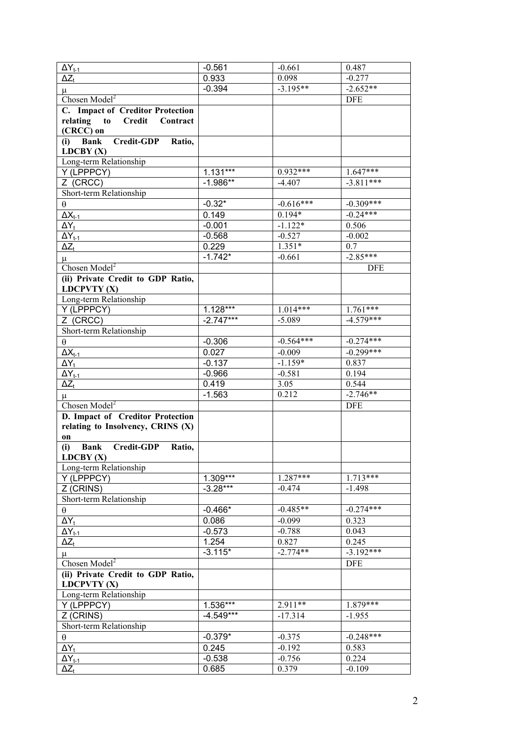| $\overline{\Delta Y}_{t-1}$                            | $-0.561$    | $-0.661$    | 0.487       |
|--------------------------------------------------------|-------------|-------------|-------------|
| $\overline{\Delta Z_t}$                                | 0.933       | 0.098       | $-0.277$    |
| $\mu$                                                  | $-0.394$    | $-3.195**$  | $-2.652**$  |
| Chosen Model <sup>2</sup>                              |             |             | <b>DFE</b>  |
| C. Impact of Creditor Protection                       |             |             |             |
| relating<br><b>Credit</b><br>$\mathbf{to}$<br>Contract |             |             |             |
| (CRCC) on                                              |             |             |             |
| (i) Bank<br>Credit-GDP Ratio,<br>LDCBY(X)              |             |             |             |
| Long-term Relationship                                 |             |             |             |
| Y (LPPPCY)                                             | $1.131***$  | $0.932***$  | $1.647***$  |
| Z (CRCC)                                               | $-1.986**$  | $-4.407$    | $-3.811***$ |
| Short-term Relationship                                |             |             |             |
| $\theta$                                               | $-0.32*$    | $-0.616***$ | $-0.309***$ |
| $\overline{\Delta}X_{t-1}$                             | 0.149       | $0.194*$    | $-0.24***$  |
| $\Delta Y_t$                                           | $-0.001$    | $-1.122*$   | 0.506       |
| $\Delta Y_{t-1}$                                       | $-0.568$    | $-0.527$    | $-0.002$    |
| $\overline{\Delta}Z_t$                                 | 0.229       | $1.351*$    | 0.7         |
| $\mu$                                                  | $-1.742*$   | $-0.661$    | $-2.85***$  |
| Chosen Model <sup>2</sup>                              |             |             | <b>DFE</b>  |
| (ii) Private Credit to GDP Ratio,                      |             |             |             |
| LDCPVTY (X)                                            |             |             |             |
| Long-term Relationship                                 |             |             |             |
| Y (LPPPCY)                                             | 1.128***    | $1.014***$  | $1.761***$  |
| Z (CRCC)                                               | $-2.747***$ | $-5.089$    | $-4.579***$ |
| Short-term Relationship                                |             |             |             |
| $\theta$                                               | $-0.306$    | $-0.564***$ | $-0.274***$ |
| $\Delta X_{t-1}$                                       | 0.027       | $-0.009$    | $-0.299***$ |
| $\Delta Y_t$                                           | $-0.137$    | $-1.159*$   | 0.837       |
| $\Delta Y_{t-1}$                                       | $-0.966$    | $-0.581$    | 0.194       |
| $\Delta Z_t$                                           | 0.419       | 3.05        | 0.544       |
| $\mu$                                                  | $-1.563$    | 0.212       | $-2.746**$  |
| Chosen $Model2$                                        |             |             | <b>DFE</b>  |
| D. Impact of Creditor Protection                       |             |             |             |
| relating to Insolvency, CRINS $(X)$                    |             |             |             |
| on                                                     |             |             |             |
| <b>Bank</b> Credit-GDP<br>(i)<br>Ratio,<br>LDCBY(X)    |             |             |             |
| Long-term Relationship                                 |             |             |             |
| Y (LPPPCY)                                             | $1.309***$  | 1.287***    | $1.713***$  |
| Z (CRINS)                                              | $-3.28***$  | -0.474      | $-1.498$    |
| Short-term Relationship                                |             |             |             |
| $\theta$                                               | $-0.466*$   | $-0.485**$  | $-0.274***$ |
| $\Delta Y_t$                                           | 0.086       | $-0.099$    | 0.323       |
| $\Delta Y_{t-1}$                                       | $-0.573$    | $-0.788$    | 0.043       |
| $\Delta Z_t$                                           | 1.254       | 0.827       | 0.245       |
| $\mu$                                                  | $-3.115*$   | $-2.774**$  | $-3.192***$ |
| Chosen Model <sup>2</sup>                              |             |             | <b>DFE</b>  |
| (ii) Private Credit to GDP Ratio,                      |             |             |             |
| LDCPVTY (X)                                            |             |             |             |
| Long-term Relationship                                 |             |             |             |
| Y (LPPPCY)                                             | 1.536***    | $2.911**$   | $1.879***$  |
| Z (CRINS)                                              | $-4.549***$ | $-17.314$   | $-1.955$    |
| Short-term Relationship                                |             |             |             |
| $\theta$                                               | $-0.379*$   | $-0.375$    | $-0.248***$ |
| $\Delta Y_t$                                           | 0.245       | $-0.192$    | 0.583       |
| $\Delta Y_{t-1}$                                       | $-0.538$    | $-0.756$    | 0.224       |
| $\Delta Z_t$                                           | 0.685       | 0.379       | $-0.109$    |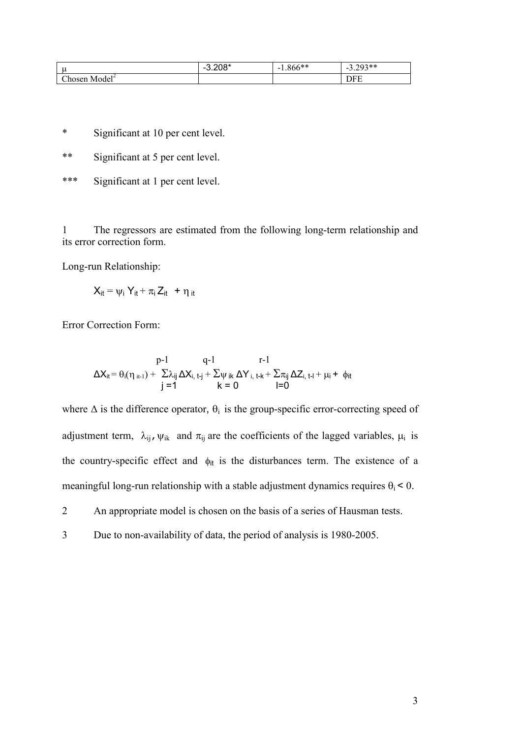|                       | $\lambda$<br>$\overline{\phantom{a}}$<br>U.∠∪∪ | $.666**$<br>$\sim$ | $\gamma$ $\rightarrow$ *<br>$-$<br>ر ر. _ ر |
|-----------------------|------------------------------------------------|--------------------|---------------------------------------------|
| Chosen<br>1/<br>Model |                                                |                    | --<br>ъ                                     |

\* Significant at 10 per cent level.

\*\* Significant at 5 per cent level.

\*\*\* Significant at 1 per cent level.

1 The regressors are estimated from the following long-term relationship and its error correction form.

Long-run Relationship:

$$
X_{it} = \psi_i Y_{it} + \pi_i Z_{it} + \eta_{it}
$$

Error Correction Form:

$$
\Delta X_{it} = \theta_i(\eta_{it-1}) + \frac{p-1}{\sum \lambda_{ij} \Delta X_{i, t-j} + \sum \psi_{ik} \Delta Y_{i, t-k} + \sum \pi_{ij} \Delta Z_{i, t-l} + \mu_i + \phi_{it}} \quad \text{for} \quad t = 0
$$

where  $\Delta$  is the difference operator,  $\theta_i$  is the group-specific error-correcting speed of adjustment term,  $\lambda_{ii}$ ,  $\psi_{ik}$  and  $\pi_{ii}$  are the coefficients of the lagged variables,  $\mu_i$  is the country-specific effect and  $\phi_{it}$  is the disturbances term. The existence of a meaningful long-run relationship with a stable adjustment dynamics requires  $\theta_i$  < 0.

2 An appropriate model is chosen on the basis of a series of Hausman tests.

3 Due to non-availability of data, the period of analysis is 1980-2005.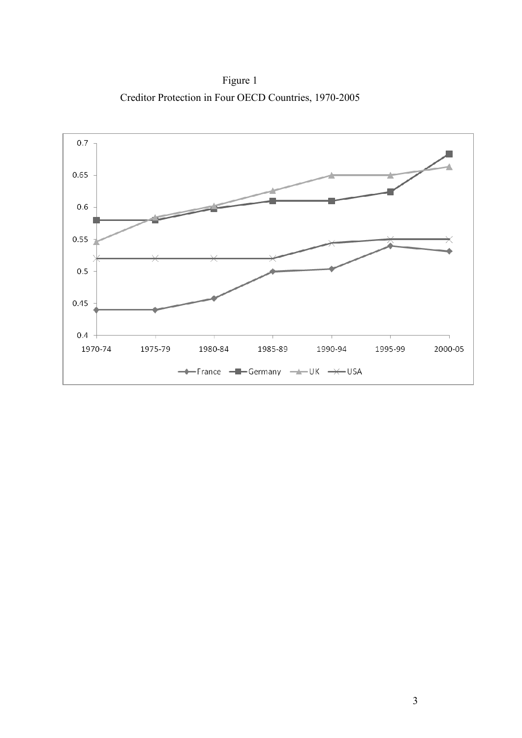Figure 1 Creditor Protection in Four OECD Countries, 1970-2005

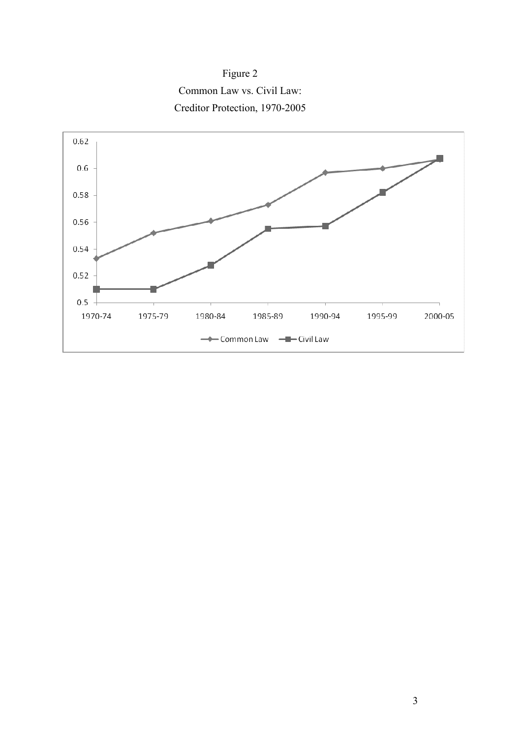

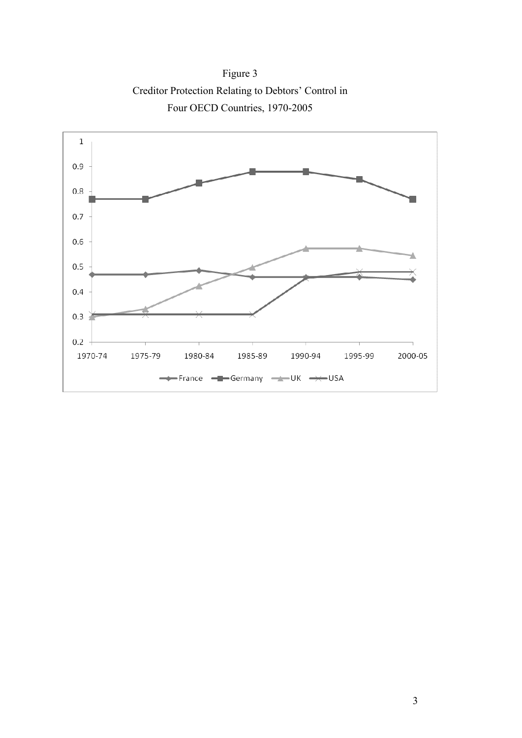Figure 3 Creditor Protection Relating to Debtors' Control in Four OECD Countries, 1970-2005

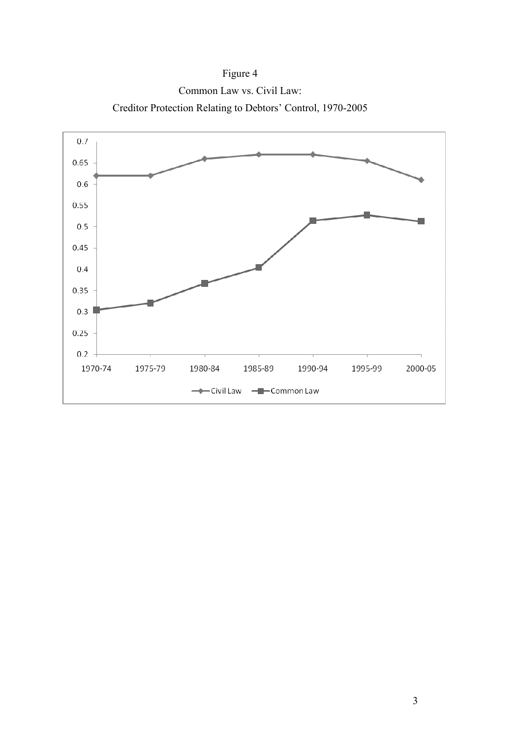

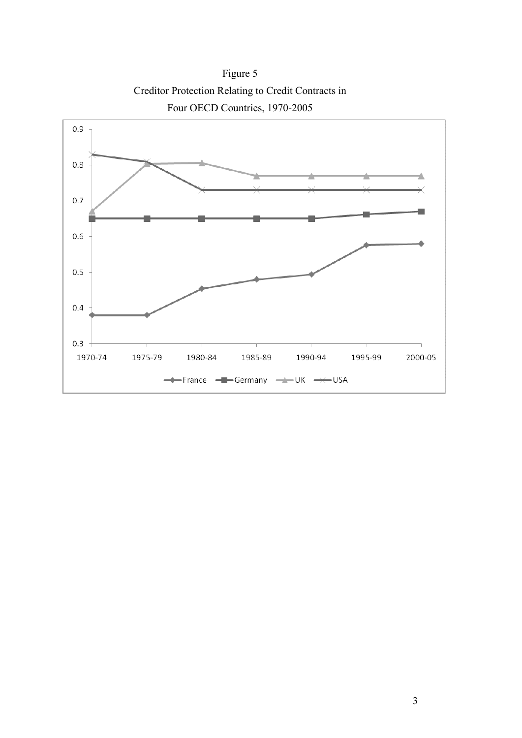Figure 5 Creditor Protection Relating to Credit Contracts in Four OECD Countries, 1970-2005

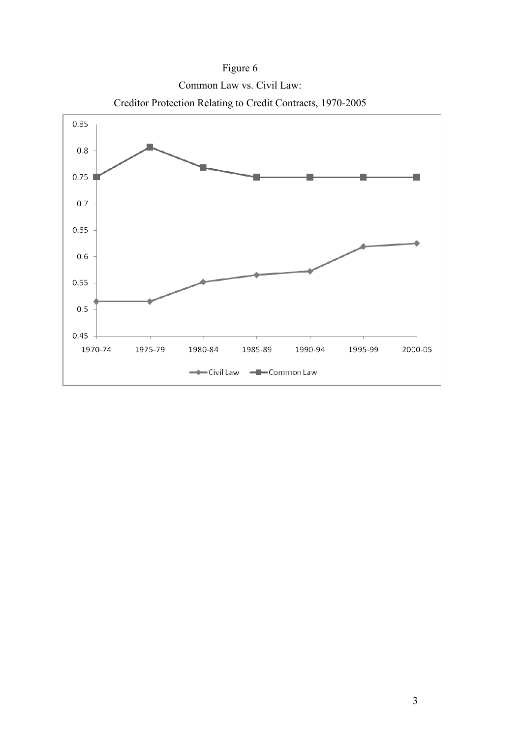

Figure 6 Common Law vs. Civil Law: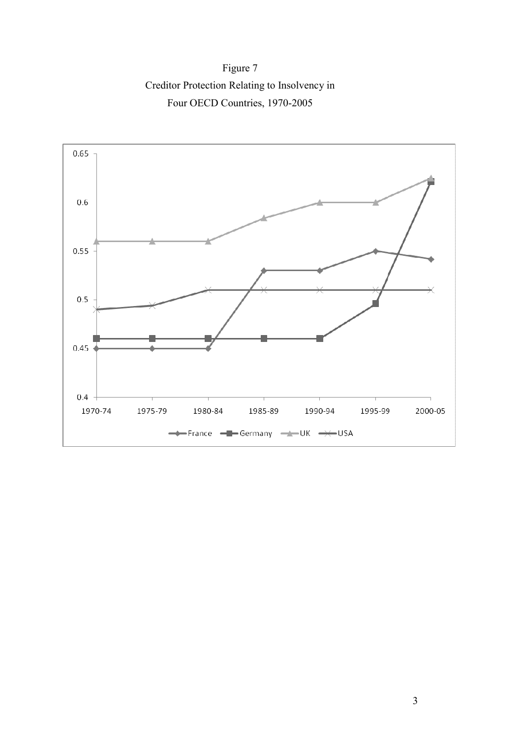Figure 7 Creditor Protection Relating to Insolvency in Four OECD Countries, 1970-2005

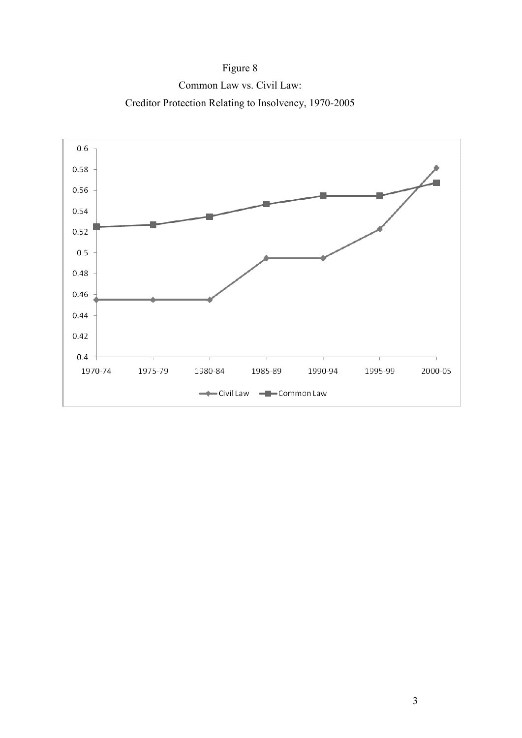Figure 8 Common Law vs. Civil Law: Creditor Protection Relating to Insolvency, 1970-2005

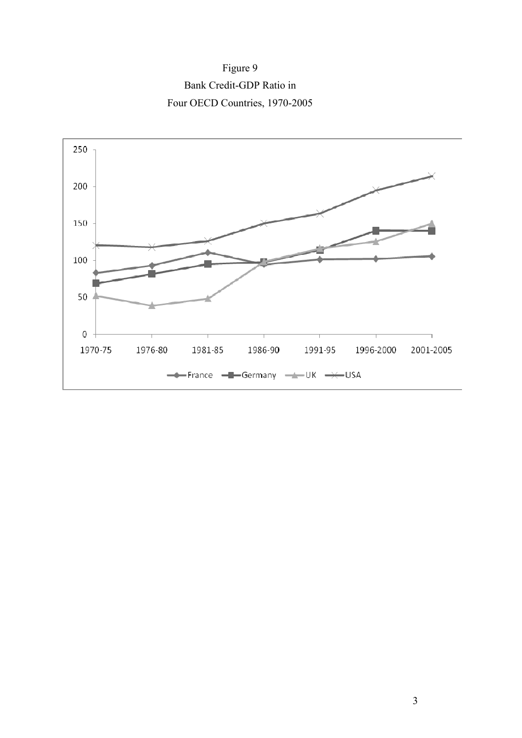Figure 9 Bank Credit-GDP Ratio in Four OECD Countries, 1970-2005